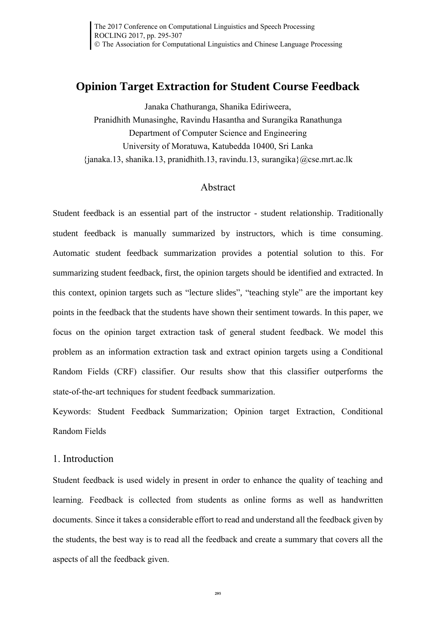# **Opinion Target Extraction for Student Course Feedback**

Janaka Chathuranga, Shanika Ediriweera, Pranidhith Munasinghe, Ravindu Hasantha and Surangika Ranathunga Department of Computer Science and Engineering University of Moratuwa, Katubedda 10400, Sri Lanka  $\{\hat{a},\hat{b}\}$  anaka.13, shanika.13, pranidhith.13, ravindu.13, surangika $\{\hat{a}\}$ cse.mrt.ac.lk

## Abstract

Student feedback is an essential part of the instructor - student relationship. Traditionally student feedback is manually summarized by instructors, which is time consuming. Automatic student feedback summarization provides a potential solution to this. For summarizing student feedback, first, the opinion targets should be identified and extracted. In this context, opinion targets such as "lecture slides", "teaching style" are the important key points in the feedback that the students have shown their sentiment towards. In this paper, we focus on the opinion target extraction task of general student feedback. We model this problem as an information extraction task and extract opinion targets using a Conditional Random Fields (CRF) classifier. Our results show that this classifier outperforms the state-of-the-art techniques for student feedback summarization.

Keywords: Student Feedback Summarization; Opinion target Extraction, Conditional Random Fields

## 1. Introduction

Student feedback is used widely in present in order to enhance the quality of teaching and learning. Feedback is collected from students as online forms as well as handwritten documents. Since it takes a considerable effort to read and understand all the feedback given by the students, the best way is to read all the feedback and create a summary that covers all the aspects of all the feedback given.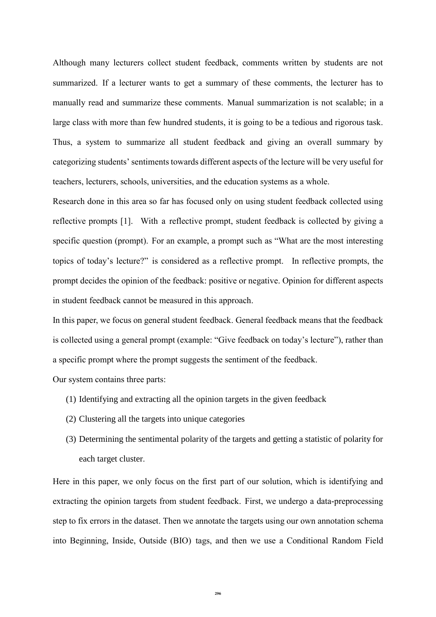Although many lecturers collect student feedback, comments written by students are not summarized. If a lecturer wants to get a summary of these comments, the lecturer has to manually read and summarize these comments. Manual summarization is not scalable; in a large class with more than few hundred students, it is going to be a tedious and rigorous task. Thus, a system to summarize all student feedback and giving an overall summary by categorizing students' sentiments towards different aspects of the lecture will be very useful for teachers, lecturers, schools, universities, and the education systems as a whole.

Research done in this area so far has focused only on using student feedback collected using reflective prompts [1]. With a reflective prompt, student feedback is collected by giving a specific question (prompt). For an example, a prompt such as "What are the most interesting topics of today's lecture?" is considered as a reflective prompt. In reflective prompts, the prompt decides the opinion of the feedback: positive or negative. Opinion for different aspects in student feedback cannot be measured in this approach.

In this paper, we focus on general student feedback. General feedback means that the feedback is collected using a general prompt (example: "Give feedback on today's lecture"), rather than a specific prompt where the prompt suggests the sentiment of the feedback.

Our system contains three parts:

- (1) Identifying and extracting all the opinion targets in the given feedback
- (2) Clustering all the targets into unique categories
- (3) Determining the sentimental polarity of the targets and getting a statistic of polarity for each target cluster.

Here in this paper, we only focus on the first part of our solution, which is identifying and extracting the opinion targets from student feedback. First, we undergo a data-preprocessing step to fix errors in the dataset. Then we annotate the targets using our own annotation schema into Beginning, Inside, Outside (BIO) tags, and then we use a Conditional Random Field

**296**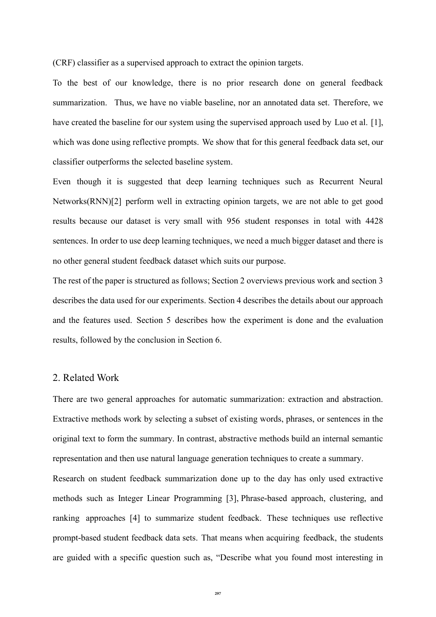(CRF) classifier as a supervised approach to extract the opinion targets.

To the best of our knowledge, there is no prior research done on general feedback summarization. Thus, we have no viable baseline, nor an annotated data set. Therefore, we have created the baseline for our system using the supervised approach used by Luo et al. [1], which was done using reflective prompts. We show that for this general feedback data set, our classifier outperforms the selected baseline system.

Even though it is suggested that deep learning techniques such as Recurrent Neural Networks(RNN)[2] perform well in extracting opinion targets, we are not able to get good results because our dataset is very small with 956 student responses in total with 4428 sentences. In order to use deep learning techniques, we need a much bigger dataset and there is no other general student feedback dataset which suits our purpose.

The rest of the paper is structured as follows; Section 2 overviews previous work and section 3 describes the data used for our experiments. Section 4 describes the details about our approach and the features used. Section 5 describes how the experiment is done and the evaluation results, followed by the conclusion in Section 6.

## 2. Related Work

There are two general approaches for automatic summarization: extraction and abstraction. Extractive methods work by selecting a subset of existing words, phrases, or sentences in the original text to form the summary. In contrast, abstractive methods build an internal semantic representation and then use natural language generation techniques to create a summary.

Research on student feedback summarization done up to the day has only used extractive methods such as Integer Linear Programming [3], Phrase-based approach, clustering, and ranking approaches [4] to summarize student feedback. These techniques use reflective prompt-based student feedback data sets. That means when acquiring feedback, the students are guided with a specific question such as, "Describe what you found most interesting in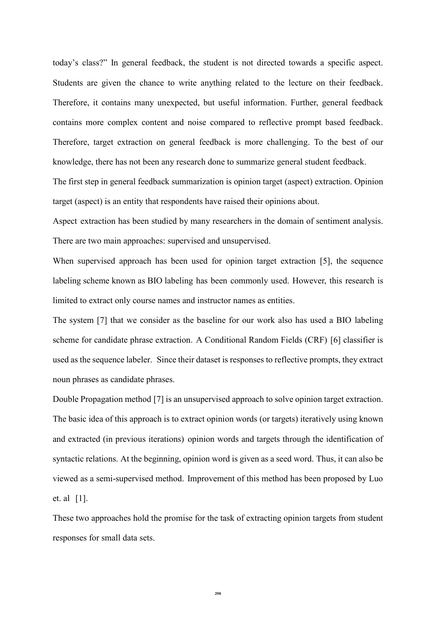today's class?" In general feedback, the student is not directed towards a specific aspect. Students are given the chance to write anything related to the lecture on their feedback. Therefore, it contains many unexpected, but useful information. Further, general feedback contains more complex content and noise compared to reflective prompt based feedback. Therefore, target extraction on general feedback is more challenging. To the best of our knowledge, there has not been any research done to summarize general student feedback.

The first step in general feedback summarization is opinion target (aspect) extraction. Opinion target (aspect) is an entity that respondents have raised their opinions about.

Aspect extraction has been studied by many researchers in the domain of sentiment analysis. There are two main approaches: supervised and unsupervised.

When supervised approach has been used for opinion target extraction [5], the sequence labeling scheme known as BIO labeling has been commonly used. However, this research is limited to extract only course names and instructor names as entities.

The system [7] that we consider as the baseline for our work also has used a BIO labeling scheme for candidate phrase extraction. A Conditional Random Fields (CRF) [6] classifier is used as the sequence labeler. Since their dataset is responses to reflective prompts, they extract noun phrases as candidate phrases.

Double Propagation method [7] is an unsupervised approach to solve opinion target extraction. The basic idea of this approach is to extract opinion words (or targets) iteratively using known and extracted (in previous iterations) opinion words and targets through the identification of syntactic relations. At the beginning, opinion word is given as a seed word. Thus, it can also be viewed as a semi-supervised method. Improvement of this method has been proposed by Luo et. al [1].

These two approaches hold the promise for the task of extracting opinion targets from student responses for small data sets.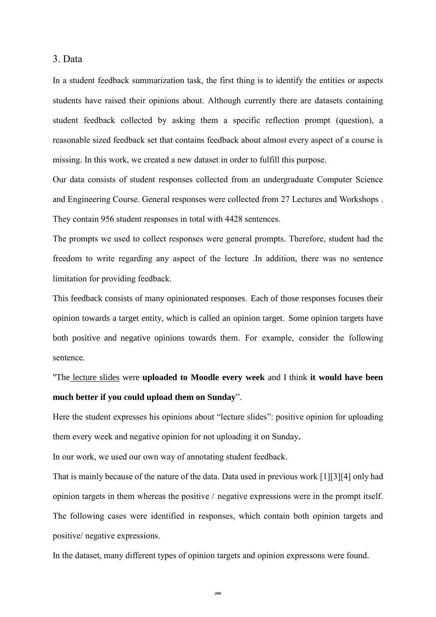3. Data

In a student feedback summarization task, the first thing is to identify the entities or aspects students have raised their opinions about. Although currently there are datasets containing student feedback collected by asking them a specific reflection prompt (question), a reasonable sized feedback set that contains feedback about almost every aspect of a course is missing. In this work, we created a new dataset in order to fulfill this purpose.

Our data consists of student responses collected from an undergraduate Computer Science and Engineering Course. General responses were collected from 27 Lectures and Workshops . They contain 956 student responses in total with 4428 sentences.

The prompts we used to collect responses were general prompts. Therefore, student had the freedom to write regarding any aspect of the lecture .In addition, there was no sentence limitation for providing feedback.

This feedback consists of many opinionated responses. Each of those responses focuses their opinion towards a target entity, which is called an opinion target. Some opinion targets have both positive and negative opinions towards them. For example, consider the following sentence.

"The lecture slides were **uploaded to Moodle every week** and I think **it would have been much better if you could upload them on Sunday**".

Here the student expresses his opinions about "lecture slides": positive opinion for uploading them every week and negative opinion for not uploading it on Sunday**.**

In our work, we used our own way of annotating student feedback.

That is mainly because of the nature of the data. Data used in previous work [1][3][4] only had opinion targets in them whereas the positive / negative expressions were in the prompt itself. The following cases were identified in responses, which contain both opinion targets and positive/ negative expressions.

In the dataset, many different types of opinion targets and opinion expressons were found.

**299**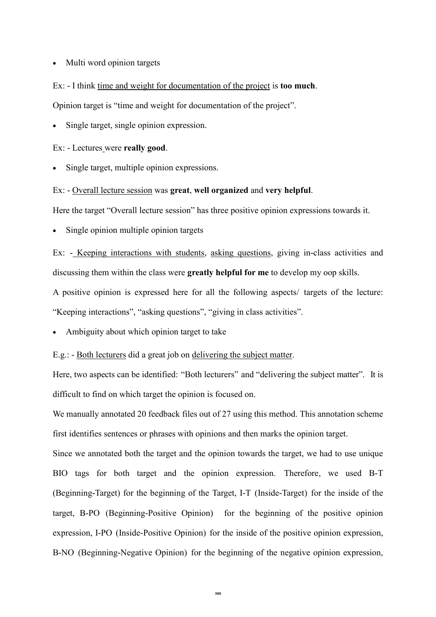#### • Multi word opinion targets

Ex: - I think time and weight for documentation of the project is **too much**.

Opinion target is "time and weight for documentation of the project".

Single target, single opinion expression.

Ex: - Lectures were **really good**.

Single target, multiple opinion expressions.

## Ex: - Overall lecture session was **great**, **well organized** and **very helpful**.

Here the target "Overall lecture session" has three positive opinion expressions towards it.

Single opinion multiple opinion targets

Ex: - Keeping interactions with students, asking questions, giving in-class activities and discussing them within the class were **greatly helpful for me** to develop my oop skills.

A positive opinion is expressed here for all the following aspects/ targets of the lecture: "Keeping interactions", "asking questions", "giving in class activities".

• Ambiguity about which opinion target to take

E.g.: - Both lecturers did a great job on delivering the subject matter.

Here, two aspects can be identified: "Both lecturers" and "delivering the subject matter". It is difficult to find on which target the opinion is focused on.

We manually annotated 20 feedback files out of 27 using this method. This annotation scheme first identifies sentences or phrases with opinions and then marks the opinion target.

Since we annotated both the target and the opinion towards the target, we had to use unique BIO tags for both target and the opinion expression. Therefore, we used B-T (Beginning-Target) for the beginning of the Target, I-T (Inside-Target) for the inside of the target, B-PO (Beginning-Positive Opinion) for the beginning of the positive opinion expression, I-PO (Inside-Positive Opinion) for the inside of the positive opinion expression, B-NO (Beginning-Negative Opinion) for the beginning of the negative opinion expression,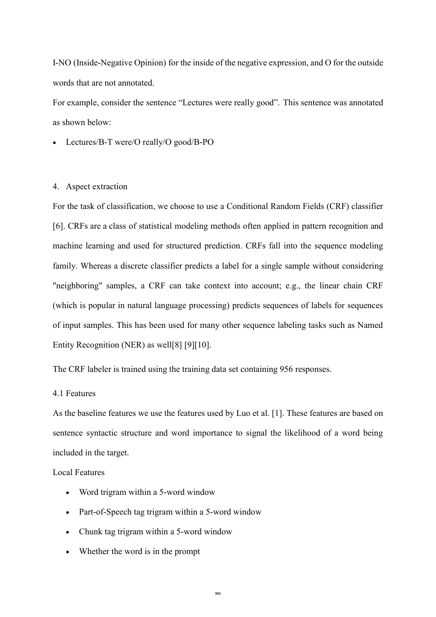I-NO (Inside-Negative Opinion) for the inside of the negative expression, and O for the outside words that are not annotated.

For example, consider the sentence "Lectures were really good". This sentence was annotated as shown below:

• Lectures/B-T were/O really/O good/B-PO

### 4. Aspect extraction

For the task of classification, we choose to use a Conditional Random Fields (CRF) classifier [6]. CRFs are a class of statistical modeling methods often applied in pattern recognition and machine learning and used for structured prediction. CRFs fall into the sequence modeling family. Whereas a discrete classifier predicts a label for a single sample without considering "neighboring" samples, a CRF can take context into account; e.g., the linear chain CRF (which is popular in natural language processing) predicts sequences of labels for sequences of input samples. This has been used for many other sequence labeling tasks such as Named Entity Recognition (NER) as well[8] [9][10].

The CRF labeler is trained using the training data set containing 956 responses.

## 4.1 Features

As the baseline features we use the features used by Luo et al. [1]. These features are based on sentence syntactic structure and word importance to signal the likelihood of a word being included in the target.

Local Features

- Word trigram within a 5-word window
- Part-of-Speech tag trigram within a 5-word window
- Chunk tag trigram within a 5-word window
- Whether the word is in the prompt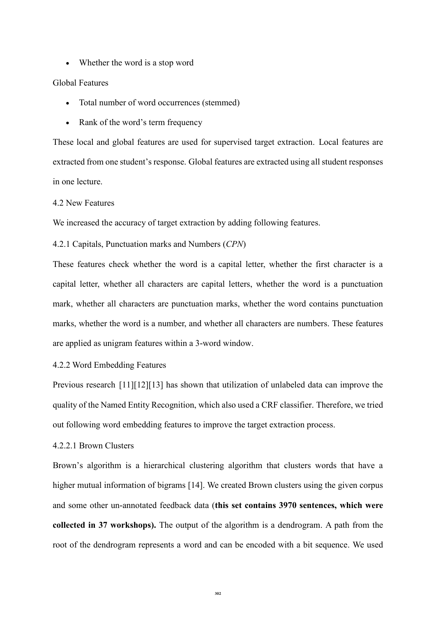• Whether the word is a stop word

#### Global Features

- Total number of word occurrences (stemmed)
- Rank of the word's term frequency

These local and global features are used for supervised target extraction. Local features are extracted from one student's response. Global features are extracted using all student responses in one lecture.

#### 4.2 New Features

We increased the accuracy of target extraction by adding following features.

## 4.2.1 Capitals, Punctuation marks and Numbers (*CPN*)

These features check whether the word is a capital letter, whether the first character is a capital letter, whether all characters are capital letters, whether the word is a punctuation mark, whether all characters are punctuation marks, whether the word contains punctuation marks, whether the word is a number, and whether all characters are numbers. These features are applied as unigram features within a 3-word window.

## 4.2.2 Word Embedding Features

Previous research [11][12][13] has shown that utilization of unlabeled data can improve the quality of the Named Entity Recognition, which also used a CRF classifier. Therefore, we tried out following word embedding features to improve the target extraction process.

### 4.2.2.1 Brown Clusters

Brown's algorithm is a hierarchical clustering algorithm that clusters words that have a higher mutual information of bigrams [14]. We created Brown clusters using the given corpus and some other un-annotated feedback data (**this set contains 3970 sentences, which were collected in 37 workshops).** The output of the algorithm is a dendrogram. A path from the root of the dendrogram represents a word and can be encoded with a bit sequence. We used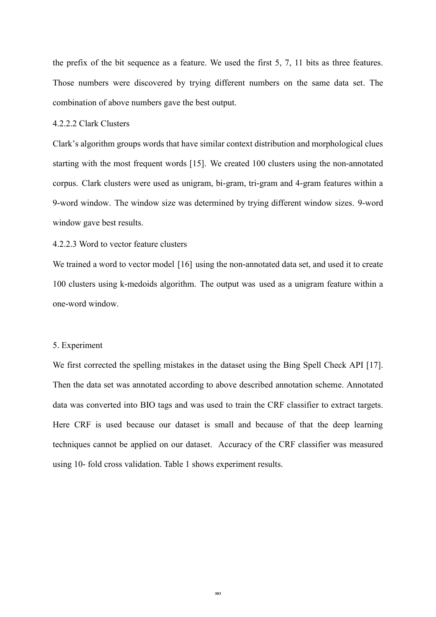the prefix of the bit sequence as a feature. We used the first 5, 7, 11 bits as three features. Those numbers were discovered by trying different numbers on the same data set. The combination of above numbers gave the best output.

### 4.2.2.2 Clark Clusters

Clark's algorithm groups words that have similar context distribution and morphological clues starting with the most frequent words [15]. We created 100 clusters using the non-annotated corpus. Clark clusters were used as unigram, bi-gram, tri-gram and 4-gram features within a 9-word window. The window size was determined by trying different window sizes. 9-word window gave best results.

## 4.2.2.3 Word to vector feature clusters

We trained a word to vector model [16] using the non-annotated data set, and used it to create 100 clusters using k-medoids algorithm. The output was used as a unigram feature within a one-word window.

#### 5. Experiment

We first corrected the spelling mistakes in the dataset using the Bing Spell Check API [17]. Then the data set was annotated according to above described annotation scheme. Annotated data was converted into BIO tags and was used to train the CRF classifier to extract targets. Here CRF is used because our dataset is small and because of that the deep learning techniques cannot be applied on our dataset. Accuracy of the CRF classifier was measured using 10- fold cross validation. Table 1 shows experiment results.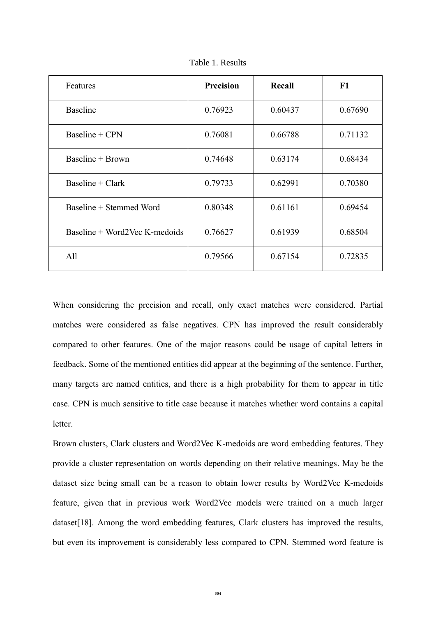| Features                        | <b>Precision</b> | Recall  | F1      |
|---------------------------------|------------------|---------|---------|
| <b>Baseline</b>                 | 0.76923          | 0.60437 | 0.67690 |
| Baseline + CPN                  | 0.76081          | 0.66788 | 0.71132 |
| Baseline + Brown                | 0.74648          | 0.63174 | 0.68434 |
| Baseline $+$ Clark              | 0.79733          | 0.62991 | 0.70380 |
| Baseline + Stemmed Word         | 0.80348          | 0.61161 | 0.69454 |
| Baseline $+$ Word2Vec K-medoids | 0.76627          | 0.61939 | 0.68504 |
| All                             | 0.79566          | 0.67154 | 0.72835 |

Table 1. Results

When considering the precision and recall, only exact matches were considered. Partial matches were considered as false negatives. CPN has improved the result considerably compared to other features. One of the major reasons could be usage of capital letters in feedback. Some of the mentioned entities did appear at the beginning of the sentence. Further, many targets are named entities, and there is a high probability for them to appear in title case. CPN is much sensitive to title case because it matches whether word contains a capital letter.

Brown clusters, Clark clusters and Word2Vec K-medoids are word embedding features. They provide a cluster representation on words depending on their relative meanings. May be the dataset size being small can be a reason to obtain lower results by Word2Vec K-medoids feature, given that in previous work Word2Vec models were trained on a much larger dataset [18]. Among the word embedding features, Clark clusters has improved the results, but even its improvement is considerably less compared to CPN. Stemmed word feature is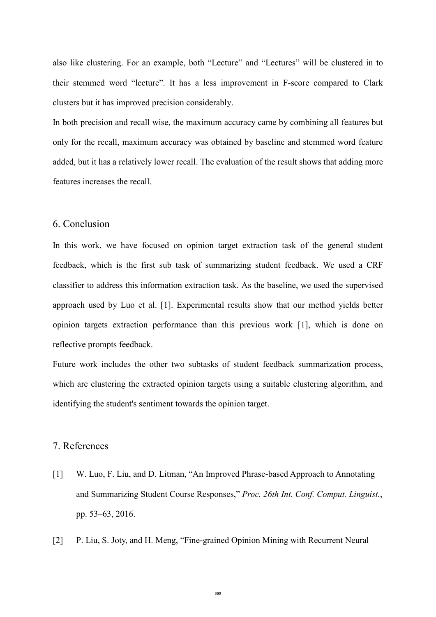also like clustering. For an example, both "Lecture" and "Lectures" will be clustered in to their stemmed word "lecture". It has a less improvement in F-score compared to Clark clusters but it has improved precision considerably.

In both precision and recall wise, the maximum accuracy came by combining all features but only for the recall, maximum accuracy was obtained by baseline and stemmed word feature added, but it has a relatively lower recall. The evaluation of the result shows that adding more features increases the recall.

## 6. Conclusion

In this work, we have focused on opinion target extraction task of the general student feedback, which is the first sub task of summarizing student feedback. We used a CRF classifier to address this information extraction task. As the baseline, we used the supervised approach used by Luo et al. [1]. Experimental results show that our method yields better opinion targets extraction performance than this previous work [1], which is done on reflective prompts feedback.

Future work includes the other two subtasks of student feedback summarization process, which are clustering the extracted opinion targets using a suitable clustering algorithm, and identifying the student's sentiment towards the opinion target.

## 7. References

- [1] W. Luo, F. Liu, and D. Litman, "An Improved Phrase-based Approach to Annotating and Summarizing Student Course Responses," *Proc. 26th Int. Conf. Comput. Linguist.*, pp. 53–63, 2016.
- [2] P. Liu, S. Joty, and H. Meng, "Fine-grained Opinion Mining with Recurrent Neural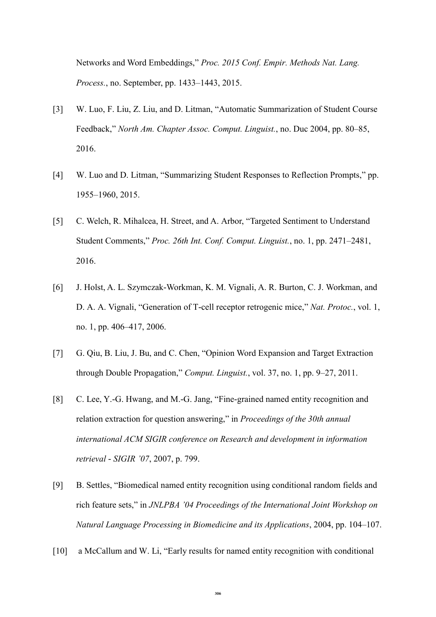Networks and Word Embeddings," *Proc. 2015 Conf. Empir. Methods Nat. Lang. Process.*, no. September, pp. 1433–1443, 2015.

- [3] W. Luo, F. Liu, Z. Liu, and D. Litman, "Automatic Summarization of Student Course Feedback," *North Am. Chapter Assoc. Comput. Linguist.*, no. Duc 2004, pp. 80–85, 2016.
- [4] W. Luo and D. Litman, "Summarizing Student Responses to Reflection Prompts," pp. 1955–1960, 2015.
- [5] C. Welch, R. Mihalcea, H. Street, and A. Arbor, "Targeted Sentiment to Understand Student Comments," *Proc. 26th Int. Conf. Comput. Linguist.*, no. 1, pp. 2471–2481, 2016.
- [6] J. Holst, A. L. Szymczak-Workman, K. M. Vignali, A. R. Burton, C. J. Workman, and D. A. A. Vignali, "Generation of T-cell receptor retrogenic mice," *Nat. Protoc.*, vol. 1, no. 1, pp. 406–417, 2006.
- [7] G. Qiu, B. Liu, J. Bu, and C. Chen, "Opinion Word Expansion and Target Extraction through Double Propagation," *Comput. Linguist.*, vol. 37, no. 1, pp. 9–27, 2011.
- [8] C. Lee, Y.-G. Hwang, and M.-G. Jang, "Fine-grained named entity recognition and relation extraction for question answering," in *Proceedings of the 30th annual international ACM SIGIR conference on Research and development in information retrieval - SIGIR '07*, 2007, p. 799.
- [9] B. Settles, "Biomedical named entity recognition using conditional random fields and rich feature sets," in *JNLPBA '04 Proceedings of the International Joint Workshop on Natural Language Processing in Biomedicine and its Applications*, 2004, pp. 104–107.
- [10] a McCallum and W. Li, "Early results for named entity recognition with conditional